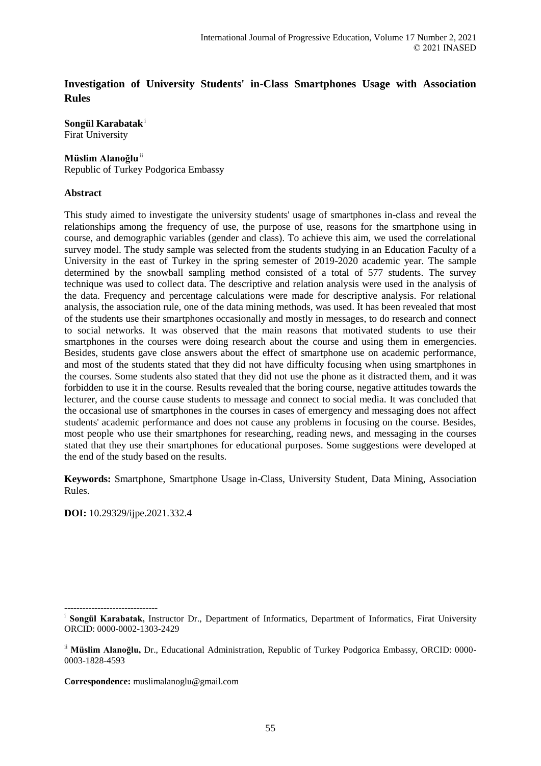# **Investigation of University Students' in-Class Smartphones Usage with Association Rules**

**Songül Karabatak**<sup>i</sup> Firat University

# **Müslim Alanoğlu**ii

Republic of Turkey Podgorica Embassy

# **Abstract**

This study aimed to investigate the university students' usage of smartphones in-class and reveal the relationships among the frequency of use, the purpose of use, reasons for the smartphone using in course, and demographic variables (gender and class). To achieve this aim, we used the correlational survey model. The study sample was selected from the students studying in an Education Faculty of a University in the east of Turkey in the spring semester of 2019-2020 academic year. The sample determined by the snowball sampling method consisted of a total of 577 students. The survey technique was used to collect data. The descriptive and relation analysis were used in the analysis of the data. Frequency and percentage calculations were made for descriptive analysis. For relational analysis, the association rule, one of the data mining methods, was used. It has been revealed that most of the students use their smartphones occasionally and mostly in messages, to do research and connect to social networks. It was observed that the main reasons that motivated students to use their smartphones in the courses were doing research about the course and using them in emergencies. Besides, students gave close answers about the effect of smartphone use on academic performance, and most of the students stated that they did not have difficulty focusing when using smartphones in the courses. Some students also stated that they did not use the phone as it distracted them, and it was forbidden to use it in the course. Results revealed that the boring course, negative attitudes towards the lecturer, and the course cause students to message and connect to social media. It was concluded that the occasional use of smartphones in the courses in cases of emergency and messaging does not affect students' academic performance and does not cause any problems in focusing on the course. Besides, most people who use their smartphones for researching, reading news, and messaging in the courses stated that they use their smartphones for educational purposes. Some suggestions were developed at the end of the study based on the results.

**Keywords:** Smartphone, Smartphone Usage in-Class, University Student, Data Mining, Association Rules.

**DOI:** 10.29329/ijpe.2021.332.4

**Correspondence:** muslimalanoglu@gmail.com

<sup>-------------------------------</sup> <sup>i</sup> Songül Karabatak, Instructor Dr., Department of Informatics, Department of Informatics, Firat University ORCID: 0000-0002-1303-2429

ii **Müslim Alanoğlu,** Dr., Educational Administration, Republic of Turkey Podgorica Embassy, ORCID: 0000- 0003-1828-4593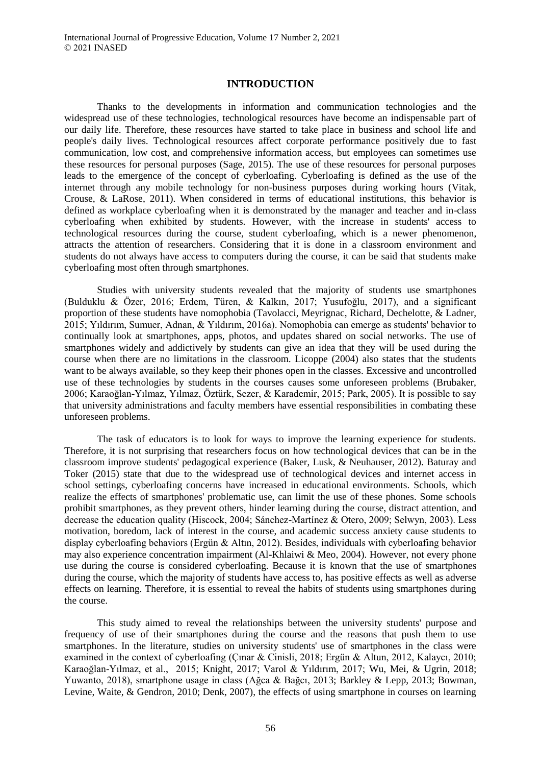# **INTRODUCTION**

Thanks to the developments in information and communication technologies and the widespread use of these technologies, technological resources have become an indispensable part of our daily life. Therefore, these resources have started to take place in business and school life and people's daily lives. Technological resources affect corporate performance positively due to fast communication, low cost, and comprehensive information access, but employees can sometimes use these resources for personal purposes (Sage, 2015). The use of these resources for personal purposes leads to the emergence of the concept of cyberloafing. Cyberloafing is defined as the use of the internet through any mobile technology for non-business purposes during working hours (Vitak, Crouse, & LaRose, 2011). When considered in terms of educational institutions, this behavior is defined as workplace cyberloafing when it is demonstrated by the manager and teacher and in-class cyberloafing when exhibited by students. However, with the increase in students' access to technological resources during the course, student cyberloafing, which is a newer phenomenon, attracts the attention of researchers. Considering that it is done in a classroom environment and students do not always have access to computers during the course, it can be said that students make cyberloafing most often through smartphones.

Studies with university students revealed that the majority of students use smartphones (Bulduklu & Özer, 2016; Erdem, Türen, & Kalkın, 2017; Yusufoğlu, 2017), and a significant proportion of these students have nomophobia (Tavolacci, Meyrignac, Richard, Dechelotte, & Ladner, 2015; Yıldırım, Sumuer, Adnan, & Yıldırım, 2016a). Nomophobia can emerge as students' behavior to continually look at smartphones, apps, photos, and updates shared on social networks. The use of smartphones widely and addictively by students can give an idea that they will be used during the course when there are no limitations in the classroom. Licoppe (2004) also states that the students want to be always available, so they keep their phones open in the classes. Excessive and uncontrolled use of these technologies by students in the courses causes some unforeseen problems (Brubaker, 2006; Karaoğlan-Yılmaz, Yılmaz, Öztürk, Sezer, & Karademir, 2015; Park, 2005). It is possible to say that university administrations and faculty members have essential responsibilities in combating these unforeseen problems.

The task of educators is to look for ways to improve the learning experience for students. Therefore, it is not surprising that researchers focus on how technological devices that can be in the classroom improve students' pedagogical experience (Baker, Lusk, & Neuhauser, 2012). Baturay and Toker (2015) state that due to the widespread use of technological devices and internet access in school settings, cyberloafing concerns have increased in educational environments. Schools, which realize the effects of smartphones' problematic use, can limit the use of these phones. Some schools prohibit smartphones, as they prevent others, hinder learning during the course, distract attention, and decrease the education quality (Hiscock, 2004; Sánchez-Martínez & Otero, 2009; Selwyn, 2003). Less motivation, boredom, lack of interest in the course, and academic success anxiety cause students to display cyberloafing behaviors (Ergün & Altın, 2012). Besides, individuals with cyberloafing behavior may also experience concentration impairment (Al-Khlaiwi & Meo, 2004). However, not every phone use during the course is considered cyberloafing. Because it is known that the use of smartphones during the course, which the majority of students have access to, has positive effects as well as adverse effects on learning. Therefore, it is essential to reveal the habits of students using smartphones during the course.

This study aimed to reveal the relationships between the university students' purpose and frequency of use of their smartphones during the course and the reasons that push them to use smartphones. In the literature, studies on university students' use of smartphones in the class were examined in the context of cyberloafing (Çınar & Cinisli, 2018; Ergün & Altun, 2012, Kalaycı, 2010; Karaoğlan-Yılmaz, et al., 2015; Knight, 2017; Varol & Yıldırım, 2017; Wu, Mei, & Ugrin, 2018; Yuwanto, 2018), smartphone usage in class (Ağca & Bağcı, 2013; Barkley & Lepp, 2013; Bowman, Levine, Waite, & Gendron, 2010; Denk, 2007), the effects of using smartphone in courses on learning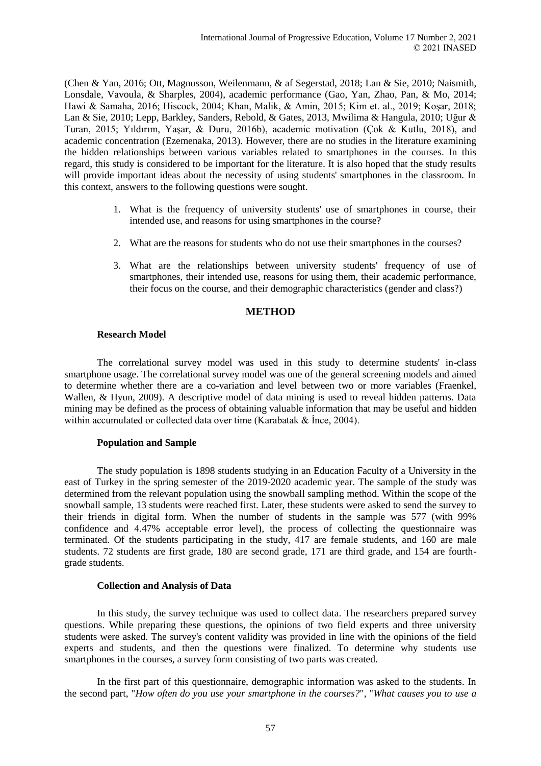(Chen & Yan, 2016; Ott, Magnusson, Weilenmann, & af Segerstad, 2018; Lan & Sie, 2010; Naismith, Lonsdale, Vavoula, & Sharples, 2004), academic performance (Gao, Yan, Zhao, Pan, & Mo, 2014; Hawi & Samaha, 2016; Hiscock, 2004; Khan, Malik, & Amin, 2015; Kim et. al., 2019; Koşar, 2018; Lan & Sie, 2010; Lepp, Barkley, Sanders, Rebold, & Gates, 2013, Mwilima & Hangula, 2010; Uğur & Turan, 2015; Yıldırım, Yaşar, & Duru, 2016b), academic motivation (Çok & Kutlu, 2018), and academic concentration (Ezemenaka, 2013). However, there are no studies in the literature examining the hidden relationships between various variables related to smartphones in the courses. In this regard, this study is considered to be important for the literature. It is also hoped that the study results will provide important ideas about the necessity of using students' smartphones in the classroom. In this context, answers to the following questions were sought.

- 1. What is the frequency of university students' use of smartphones in course, their intended use, and reasons for using smartphones in the course?
- 2. What are the reasons for students who do not use their smartphones in the courses?
- 3. What are the relationships between university students' frequency of use of smartphones, their intended use, reasons for using them, their academic performance, their focus on the course, and their demographic characteristics (gender and class?)

# **METHOD**

#### **Research Model**

The correlational survey model was used in this study to determine students' in-class smartphone usage. The correlational survey model was one of the general screening models and aimed to determine whether there are a co-variation and level between two or more variables (Fraenkel, Wallen, & Hyun, 2009). A descriptive model of data mining is used to reveal hidden patterns. Data mining may be defined as the process of obtaining valuable information that may be useful and hidden within accumulated or collected data over time (Karabatak & İnce, 2004).

# **Population and Sample**

The study population is 1898 students studying in an Education Faculty of a University in the east of Turkey in the spring semester of the 2019-2020 academic year. The sample of the study was determined from the relevant population using the snowball sampling method. Within the scope of the snowball sample, 13 students were reached first. Later, these students were asked to send the survey to their friends in digital form. When the number of students in the sample was 577 (with 99% confidence and 4.47% acceptable error level), the process of collecting the questionnaire was terminated. Of the students participating in the study, 417 are female students, and 160 are male students. 72 students are first grade, 180 are second grade, 171 are third grade, and 154 are fourthgrade students.

#### **Collection and Analysis of Data**

In this study, the survey technique was used to collect data. The researchers prepared survey questions. While preparing these questions, the opinions of two field experts and three university students were asked. The survey's content validity was provided in line with the opinions of the field experts and students, and then the questions were finalized. To determine why students use smartphones in the courses, a survey form consisting of two parts was created.

In the first part of this questionnaire, demographic information was asked to the students. In the second part, "*How often do you use your smartphone in the courses?*", "*What causes you to use a*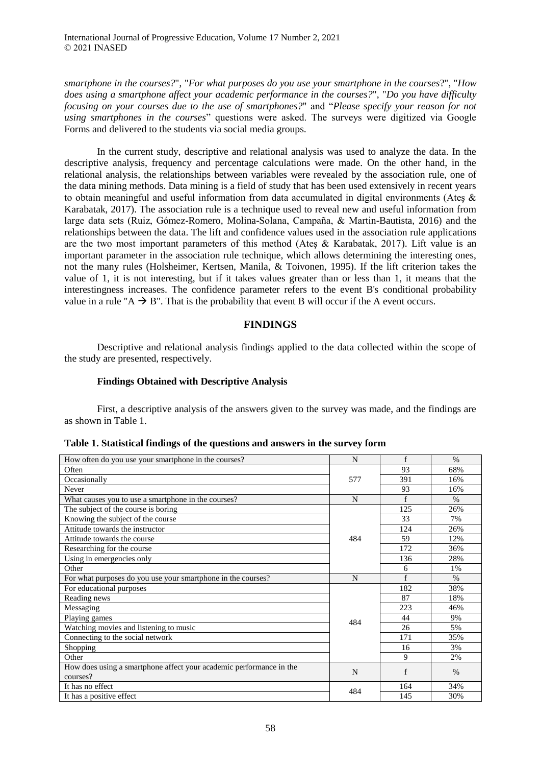*smartphone in the courses?*", "*For what purposes do you use your smartphone in the courses*?", "*How does using a smartphone affect your academic performance in the courses?*", "*Do you have difficulty focusing on your courses due to the use of smartphones?*" and "*Please specify your reason for not using smartphones in the courses*" questions were asked. The surveys were digitized via Google Forms and delivered to the students via social media groups.

In the current study, descriptive and relational analysis was used to analyze the data. In the descriptive analysis, frequency and percentage calculations were made. On the other hand, in the relational analysis, the relationships between variables were revealed by the association rule, one of the data mining methods. Data mining is a field of study that has been used extensively in recent years to obtain meaningful and useful information from data accumulated in digital environments (Ateş & Karabatak, 2017). The association rule is a technique used to reveal new and useful information from large data sets (Ruiz, Gómez-Romero, Molina-Solana, Campaña, & Martin-Bautista, 2016) and the relationships between the data. The lift and confidence values used in the association rule applications are the two most important parameters of this method (Ateş & Karabatak, 2017). Lift value is an important parameter in the association rule technique, which allows determining the interesting ones, not the many rules (Holsheimer, Kertsen, Manila, & Toivonen, 1995). If the lift criterion takes the value of 1, it is not interesting, but if it takes values greater than or less than 1, it means that the interestingness increases. The confidence parameter refers to the event B's conditional probability value in a rule " $A \rightarrow B$ ". That is the probability that event B will occur if the A event occurs.

# **FINDINGS**

Descriptive and relational analysis findings applied to the data collected within the scope of the study are presented, respectively.

### **Findings Obtained with Descriptive Analysis**

First, a descriptive analysis of the answers given to the survey was made, and the findings are as shown in Table 1.

| How often do you use your smartphone in the courses?                | N   | f   | $\%$ |
|---------------------------------------------------------------------|-----|-----|------|
| Often                                                               |     | 93  | 68%  |
| Occasionally                                                        | 577 | 391 | 16%  |
| Never                                                               |     | 93  | 16%  |
| What causes you to use a smartphone in the courses?                 | N   | f   | $\%$ |
| The subject of the course is boring                                 |     | 125 | 26%  |
| Knowing the subject of the course                                   |     | 33  | 7%   |
| Attitude towards the instructor                                     | 484 | 124 | 26%  |
| Attitude towards the course                                         |     | 59  | 12%  |
| Researching for the course                                          |     | 172 | 36%  |
| Using in emergencies only                                           |     | 136 | 28%  |
| Other                                                               |     | 6   | 1%   |
| For what purposes do you use your smartphone in the courses?        | N   | f   | $\%$ |
| For educational purposes                                            |     | 182 | 38%  |
| Reading news                                                        |     | 87  | 18%  |
| Messaging                                                           | 484 | 223 | 46%  |
| Playing games                                                       |     | 44  | 9%   |
| Watching movies and listening to music                              |     | 26  | 5%   |
| Connecting to the social network                                    |     | 171 | 35%  |
| Shopping                                                            |     | 16  | 3%   |
| Other                                                               |     | 9   | 2%   |
| How does using a smartphone affect your academic performance in the | N   | f   | $\%$ |
| courses?                                                            |     |     |      |
| It has no effect                                                    | 484 | 164 | 34%  |
| It has a positive effect                                            |     | 145 | 30%  |

**Table 1. Statistical findings of the questions and answers in the survey form**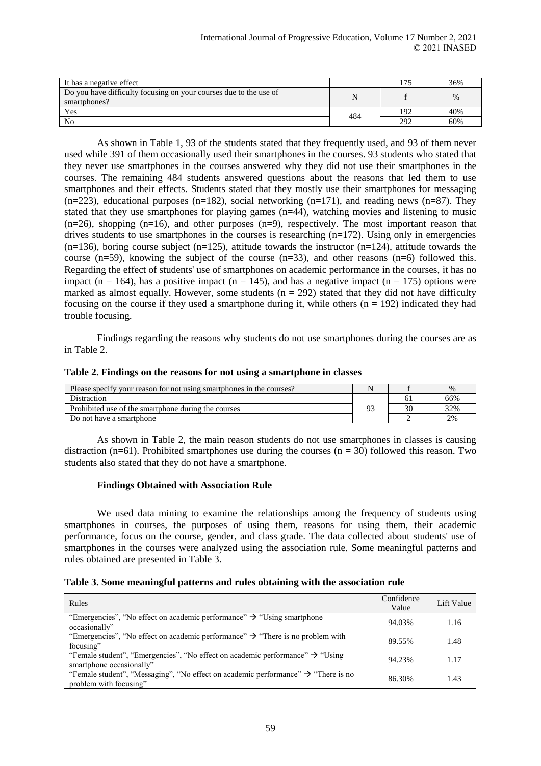| It has a negative effect                                                          |     | ۳ ت | 36%  |
|-----------------------------------------------------------------------------------|-----|-----|------|
| Do you have difficulty focusing on your courses due to the use of<br>smartphones? | N   |     | $\%$ |
| Yes                                                                               | 484 | 192 | 40%  |
| N <sub>0</sub>                                                                    |     | 292 | 60%  |

As shown in Table 1, 93 of the students stated that they frequently used, and 93 of them never used while 391 of them occasionally used their smartphones in the courses. 93 students who stated that they never use smartphones in the courses answered why they did not use their smartphones in the courses. The remaining 484 students answered questions about the reasons that led them to use smartphones and their effects. Students stated that they mostly use their smartphones for messaging  $(n=223)$ , educational purposes  $(n=182)$ , social networking  $(n=171)$ , and reading news  $(n=87)$ . They stated that they use smartphones for playing games  $(n=44)$ , watching movies and listening to music (n=26), shopping (n=16), and other purposes (n=9), respectively. The most important reason that drives students to use smartphones in the courses is researching  $(n=172)$ . Using only in emergencies  $(n=136)$ , boring course subject  $(n=125)$ , attitude towards the instructor  $(n=124)$ , attitude towards the course  $(n=59)$ , knowing the subject of the course  $(n=33)$ , and other reasons  $(n=6)$  followed this. Regarding the effect of students' use of smartphones on academic performance in the courses, it has no impact (n = 164), has a positive impact (n = 145), and has a negative impact (n = 175) options were marked as almost equally. However, some students ( $n = 292$ ) stated that they did not have difficulty focusing on the course if they used a smartphone during it, while others  $(n = 192)$  indicated they had trouble focusing.

Findings regarding the reasons why students do not use smartphones during the courses are as in Table 2.

### **Table 2. Findings on the reasons for not using a smartphone in classes**

| Please specify your reason for not using smartphones in the courses? |    |              | $\%$ |
|----------------------------------------------------------------------|----|--------------|------|
| Distraction                                                          |    | $\mathbf{b}$ | 66%  |
| Prohibited use of the smartphone during the courses                  | o۵ |              | 32%  |
| Do not have a smartphone                                             |    |              | 2%   |

As shown in Table 2, the main reason students do not use smartphones in classes is causing distraction (n=61). Prohibited smartphones use during the courses (n =  $30$ ) followed this reason. Two students also stated that they do not have a smartphone.

#### **Findings Obtained with Association Rule**

We used data mining to examine the relationships among the frequency of students using smartphones in courses, the purposes of using them, reasons for using them, their academic performance, focus on the course, gender, and class grade. The data collected about students' use of smartphones in the courses were analyzed using the association rule. Some meaningful patterns and rules obtained are presented in Table 3.

| Rules                                                                                                                   | Confidence<br>Value | Lift Value |
|-------------------------------------------------------------------------------------------------------------------------|---------------------|------------|
| "Emergencies", "No effect on academic performance" $\rightarrow$ "Using smartphone"<br>occasionally"                    | 94.03%              | 1.16       |
| "Emergencies", "No effect on academic performance" $\rightarrow$ "There is no problem with<br>focusing"                 | 89.55%              | 1.48       |
| "Female student", "Emergencies", "No effect on academic performance" $\rightarrow$ "Using"<br>smartphone occasionally"  | 94.23%              | 1.17       |
| "Female student", "Messaging", "No effect on academic performance" $\rightarrow$ "There is no<br>problem with focusing" | 86.30%              | 1.43       |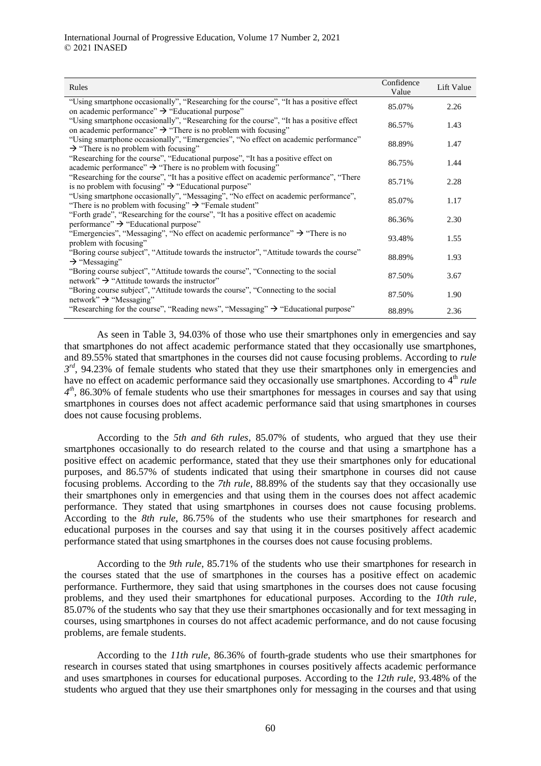| Rules                                                                                                                                                                   | Confidence<br>Value | Lift Value |
|-------------------------------------------------------------------------------------------------------------------------------------------------------------------------|---------------------|------------|
| "Using smartphone occasionally", "Researching for the course", "It has a positive effect<br>on academic performance" $\rightarrow$ "Educational purpose"                | 85.07%              | 2.26       |
| "Using smartphone occasionally", "Researching for the course", "It has a positive effect"<br>on academic performance" $\rightarrow$ "There is no problem with focusing" | 86.57%              | 1.43       |
| "Using smartphone occasionally", "Emergencies", "No effect on academic performance"<br>$\rightarrow$ "There is no problem with focusing"                                | 88.89%              | 1.47       |
| "Researching for the course", "Educational purpose", "It has a positive effect on<br>academic performance" $\rightarrow$ "There is no problem with focusing"            | 86.75%              | 1.44       |
| "Researching for the course", "It has a positive effect on academic performance", "There<br>is no problem with focusing" $\rightarrow$ "Educational purpose"            | 85.71%              | 2.28       |
| "Using smartphone occasionally", "Messaging", "No effect on academic performance",<br>"There is no problem with focusing" $\rightarrow$ "Female student"                | 85.07%              | 1.17       |
| "Forth grade", "Researching for the course", "It has a positive effect on academic<br>performance" $\rightarrow$ "Educational purpose"                                  | 86.36%              | 2.30       |
| "Emergencies", "Messaging", "No effect on academic performance" $\rightarrow$ "There is no<br>problem with focusing"                                                    | 93.48%              | 1.55       |
| "Boring course subject", "Attitude towards the instructor", "Attitude towards the course"<br>$\rightarrow$ "Messaging"                                                  | 88.89%              | 1.93       |
| "Boring course subject", "Attitude towards the course", "Connecting to the social<br>network" $\rightarrow$ "Attitude towards the instructor"                           | 87.50%              | 3.67       |
| "Boring course subject", "Attitude towards the course", "Connecting to the social"<br>network" $\rightarrow$ "Messaging"                                                | 87.50%              | 1.90       |
| "Researching for the course", "Reading news", "Messaging" $\rightarrow$ "Educational purpose"                                                                           | 88.89%              | 2.36       |

As seen in Table 3, 94.03% of those who use their smartphones only in emergencies and say that smartphones do not affect academic performance stated that they occasionally use smartphones, and 89.55% stated that smartphones in the courses did not cause focusing problems. According to *rule*   $3^{rd}$ , 94.23% of female students who stated that they use their smartphones only in emergencies and have no effect on academic performance said they occasionally use smartphones. According to 4<sup>th</sup> *rule* 4<sup>th</sup>, 86.30% of female students who use their smartphones for messages in courses and say that using smartphones in courses does not affect academic performance said that using smartphones in courses does not cause focusing problems.

According to the *5th and 6th rules*, 85.07% of students, who argued that they use their smartphones occasionally to do research related to the course and that using a smartphone has a positive effect on academic performance, stated that they use their smartphones only for educational purposes, and 86.57% of students indicated that using their smartphone in courses did not cause focusing problems. According to the *7th rule*, 88.89% of the students say that they occasionally use their smartphones only in emergencies and that using them in the courses does not affect academic performance. They stated that using smartphones in courses does not cause focusing problems. According to the *8th rule*, 86.75% of the students who use their smartphones for research and educational purposes in the courses and say that using it in the courses positively affect academic performance stated that using smartphones in the courses does not cause focusing problems.

According to the *9th rule*, 85.71% of the students who use their smartphones for research in the courses stated that the use of smartphones in the courses has a positive effect on academic performance. Furthermore, they said that using smartphones in the courses does not cause focusing problems, and they used their smartphones for educational purposes. According to the *10th rule*, 85.07% of the students who say that they use their smartphones occasionally and for text messaging in courses, using smartphones in courses do not affect academic performance, and do not cause focusing problems, are female students.

According to the *11th rule*, 86.36% of fourth-grade students who use their smartphones for research in courses stated that using smartphones in courses positively affects academic performance and uses smartphones in courses for educational purposes. According to the *12th rule*, 93.48% of the students who argued that they use their smartphones only for messaging in the courses and that using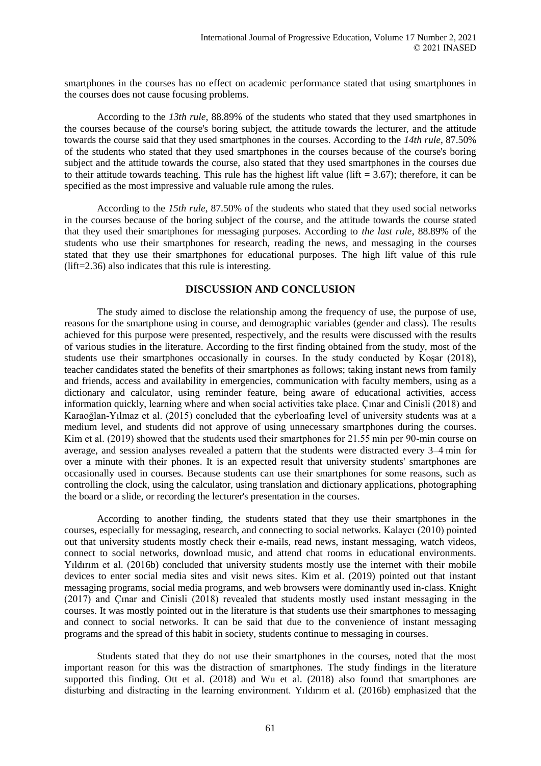smartphones in the courses has no effect on academic performance stated that using smartphones in the courses does not cause focusing problems.

According to the *13th rule*, 88.89% of the students who stated that they used smartphones in the courses because of the course's boring subject, the attitude towards the lecturer, and the attitude towards the course said that they used smartphones in the courses. According to the *14th rule*, 87.50% of the students who stated that they used smartphones in the courses because of the course's boring subject and the attitude towards the course, also stated that they used smartphones in the courses due to their attitude towards teaching. This rule has the highest lift value (lift  $= 3.67$ ); therefore, it can be specified as the most impressive and valuable rule among the rules.

According to the *15th rule*, 87.50% of the students who stated that they used social networks in the courses because of the boring subject of the course, and the attitude towards the course stated that they used their smartphones for messaging purposes. According to *the last rule*, 88.89% of the students who use their smartphones for research, reading the news, and messaging in the courses stated that they use their smartphones for educational purposes. The high lift value of this rule (lift=2.36) also indicates that this rule is interesting.

# **DISCUSSION AND CONCLUSION**

The study aimed to disclose the relationship among the frequency of use, the purpose of use, reasons for the smartphone using in course, and demographic variables (gender and class). The results achieved for this purpose were presented, respectively, and the results were discussed with the results of various studies in the literature. According to the first finding obtained from the study, most of the students use their smartphones occasionally in courses. In the study conducted by Koşar (2018), teacher candidates stated the benefits of their smartphones as follows; taking instant news from family and friends, access and availability in emergencies, communication with faculty members, using as a dictionary and calculator, using reminder feature, being aware of educational activities, access information quickly, learning where and when social activities take place. Çınar and Cinisli (2018) and Karaoğlan-Yılmaz et al. (2015) concluded that the cyberloafing level of university students was at a medium level, and students did not approve of using unnecessary smartphones during the courses. Kim et al. (2019) showed that the students used their smartphones for 21.55 min per 90-min course on average, and session analyses revealed a pattern that the students were distracted every 3–4 min for over a minute with their phones. It is an expected result that university students' smartphones are occasionally used in courses. Because students can use their smartphones for some reasons, such as controlling the clock, using the calculator, using translation and dictionary applications, photographing the board or a slide, or recording the lecturer's presentation in the courses.

According to another finding, the students stated that they use their smartphones in the courses, especially for messaging, research, and connecting to social networks. Kalaycı (2010) pointed out that university students mostly check their e-mails, read news, instant messaging, watch videos, connect to social networks, download music, and attend chat rooms in educational environments. Yıldırım et al. (2016b) concluded that university students mostly use the internet with their mobile devices to enter social media sites and visit news sites. Kim et al. (2019) pointed out that instant messaging programs, social media programs, and web browsers were dominantly used in-class. Knight (2017) and Çınar and Cinisli (2018) revealed that students mostly used instant messaging in the courses. It was mostly pointed out in the literature is that students use their smartphones to messaging and connect to social networks. It can be said that due to the convenience of instant messaging programs and the spread of this habit in society, students continue to messaging in courses.

Students stated that they do not use their smartphones in the courses, noted that the most important reason for this was the distraction of smartphones. The study findings in the literature supported this finding. Ott et al. (2018) and Wu et al. (2018) also found that smartphones are disturbing and distracting in the learning environment. Yıldırım et al. (2016b) emphasized that the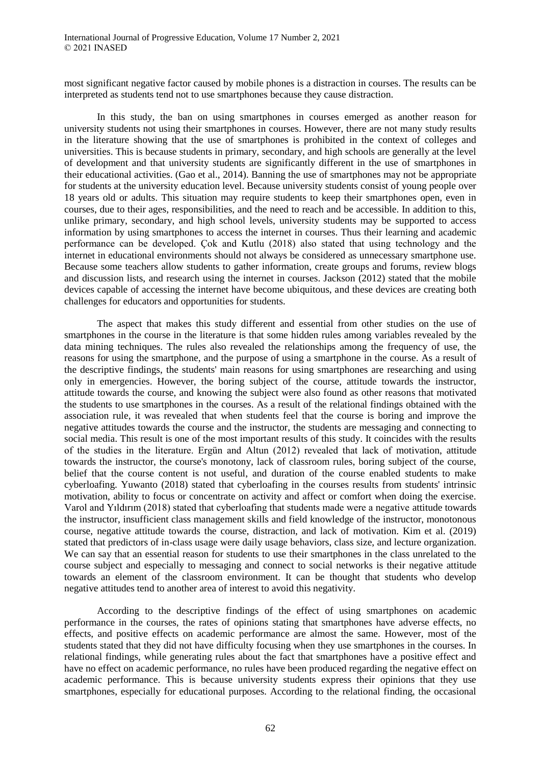most significant negative factor caused by mobile phones is a distraction in courses. The results can be interpreted as students tend not to use smartphones because they cause distraction.

In this study, the ban on using smartphones in courses emerged as another reason for university students not using their smartphones in courses. However, there are not many study results in the literature showing that the use of smartphones is prohibited in the context of colleges and universities. This is because students in primary, secondary, and high schools are generally at the level of development and that university students are significantly different in the use of smartphones in their educational activities. (Gao et al., 2014). Banning the use of smartphones may not be appropriate for students at the university education level. Because university students consist of young people over 18 years old or adults. This situation may require students to keep their smartphones open, even in courses, due to their ages, responsibilities, and the need to reach and be accessible. In addition to this, unlike primary, secondary, and high school levels, university students may be supported to access information by using smartphones to access the internet in courses. Thus their learning and academic performance can be developed. Çok and Kutlu (2018) also stated that using technology and the internet in educational environments should not always be considered as unnecessary smartphone use. Because some teachers allow students to gather information, create groups and forums, review blogs and discussion lists, and research using the internet in courses. Jackson (2012) stated that the mobile devices capable of accessing the internet have become ubiquitous, and these devices are creating both challenges for educators and opportunities for students.

The aspect that makes this study different and essential from other studies on the use of smartphones in the course in the literature is that some hidden rules among variables revealed by the data mining techniques. The rules also revealed the relationships among the frequency of use, the reasons for using the smartphone, and the purpose of using a smartphone in the course. As a result of the descriptive findings, the students' main reasons for using smartphones are researching and using only in emergencies. However, the boring subject of the course, attitude towards the instructor, attitude towards the course, and knowing the subject were also found as other reasons that motivated the students to use smartphones in the courses. As a result of the relational findings obtained with the association rule, it was revealed that when students feel that the course is boring and improve the negative attitudes towards the course and the instructor, the students are messaging and connecting to social media. This result is one of the most important results of this study. It coincides with the results of the studies in the literature. Ergün and Altun (2012) revealed that lack of motivation, attitude towards the instructor, the course's monotony, lack of classroom rules, boring subject of the course, belief that the course content is not useful, and duration of the course enabled students to make cyberloafing. Yuwanto (2018) stated that cyberloafing in the courses results from students' intrinsic motivation, ability to focus or concentrate on activity and affect or comfort when doing the exercise. Varol and Yıldırım (2018) stated that cyberloafing that students made were a negative attitude towards the instructor, insufficient class management skills and field knowledge of the instructor, monotonous course, negative attitude towards the course, distraction, and lack of motivation. Kim et al. (2019) stated that predictors of in-class usage were daily usage behaviors, class size, and lecture organization. We can say that an essential reason for students to use their smartphones in the class unrelated to the course subject and especially to messaging and connect to social networks is their negative attitude towards an element of the classroom environment. It can be thought that students who develop negative attitudes tend to another area of interest to avoid this negativity.

According to the descriptive findings of the effect of using smartphones on academic performance in the courses, the rates of opinions stating that smartphones have adverse effects, no effects, and positive effects on academic performance are almost the same. However, most of the students stated that they did not have difficulty focusing when they use smartphones in the courses. In relational findings, while generating rules about the fact that smartphones have a positive effect and have no effect on academic performance, no rules have been produced regarding the negative effect on academic performance. This is because university students express their opinions that they use smartphones, especially for educational purposes. According to the relational finding, the occasional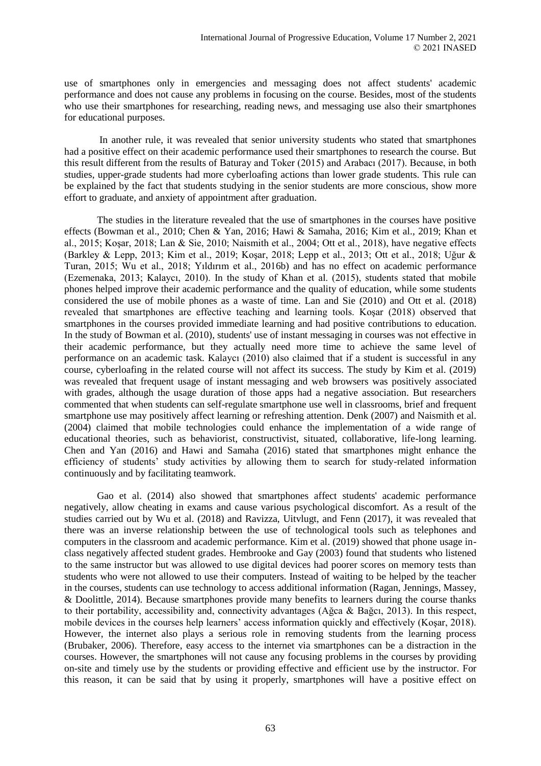use of smartphones only in emergencies and messaging does not affect students' academic performance and does not cause any problems in focusing on the course. Besides, most of the students who use their smartphones for researching, reading news, and messaging use also their smartphones for educational purposes.

In another rule, it was revealed that senior university students who stated that smartphones had a positive effect on their academic performance used their smartphones to research the course. But this result different from the results of Baturay and Toker (2015) and Arabacı (2017). Because, in both studies, upper-grade students had more cyberloafing actions than lower grade students. This rule can be explained by the fact that students studying in the senior students are more conscious, show more effort to graduate, and anxiety of appointment after graduation.

The studies in the literature revealed that the use of smartphones in the courses have positive effects (Bowman et al., 2010; Chen & Yan, 2016; Hawi & Samaha, 2016; Kim et al., 2019; Khan et al., 2015; Koşar, 2018; Lan & Sie, 2010; Naismith et al., 2004; Ott et al., 2018), have negative effects (Barkley & Lepp, 2013; Kim et al., 2019; Koşar, 2018; Lepp et al., 2013; Ott et al., 2018; Uğur & Turan, 2015; Wu et al., 2018; Yıldırım et al., 2016b) and has no effect on academic performance (Ezemenaka, 2013; Kalaycı, 2010). In the study of Khan et al. (2015), students stated that mobile phones helped improve their academic performance and the quality of education, while some students considered the use of mobile phones as a waste of time. Lan and Sie (2010) and Ott et al. (2018) revealed that smartphones are effective teaching and learning tools. Koşar (2018) observed that smartphones in the courses provided immediate learning and had positive contributions to education. In the study of Bowman et al. (2010), students' use of instant messaging in courses was not effective in their academic performance, but they actually need more time to achieve the same level of performance on an academic task. Kalaycı (2010) also claimed that if a student is successful in any course, cyberloafing in the related course will not affect its success. The study by Kim et al. (2019) was revealed that frequent usage of instant messaging and web browsers was positively associated with grades, although the usage duration of those apps had a negative association. But researchers commented that when students can self-regulate smartphone use well in classrooms, brief and frequent smartphone use may positively affect learning or refreshing attention. Denk (2007) and Naismith et al. (2004) claimed that mobile technologies could enhance the implementation of a wide range of educational theories, such as behaviorist, constructivist, situated, collaborative, life-long learning. Chen and Yan (2016) and Hawi and Samaha (2016) stated that smartphones might enhance the efficiency of students' study activities by allowing them to search for study-related information continuously and by facilitating teamwork.

Gao et al. (2014) also showed that smartphones affect students' academic performance negatively, allow cheating in exams and cause various psychological discomfort. As a result of the studies carried out by Wu et al. (2018) and Ravizza, Uitvlugt, and Fenn (2017), it was revealed that there was an inverse relationship between the use of technological tools such as telephones and computers in the classroom and academic performance. Kim et al. (2019) showed that phone usage inclass negatively affected student grades. Hembrooke and Gay (2003) found that students who listened to the same instructor but was allowed to use digital devices had poorer scores on memory tests than students who were not allowed to use their computers. Instead of waiting to be helped by the teacher in the courses, students can use technology to access additional information (Ragan, Jennings, Massey, & Doolittle, 2014). Because smartphones provide many benefits to learners during the course thanks to their portability, accessibility and, connectivity advantages (Ağca & Bağcı, 2013). In this respect, mobile devices in the courses help learners' access information quickly and effectively (Koşar, 2018). However, the internet also plays a serious role in removing students from the learning process (Brubaker, 2006). Therefore, easy access to the internet via smartphones can be a distraction in the courses. However, the smartphones will not cause any focusing problems in the courses by providing on-site and timely use by the students or providing effective and efficient use by the instructor. For this reason, it can be said that by using it properly, smartphones will have a positive effect on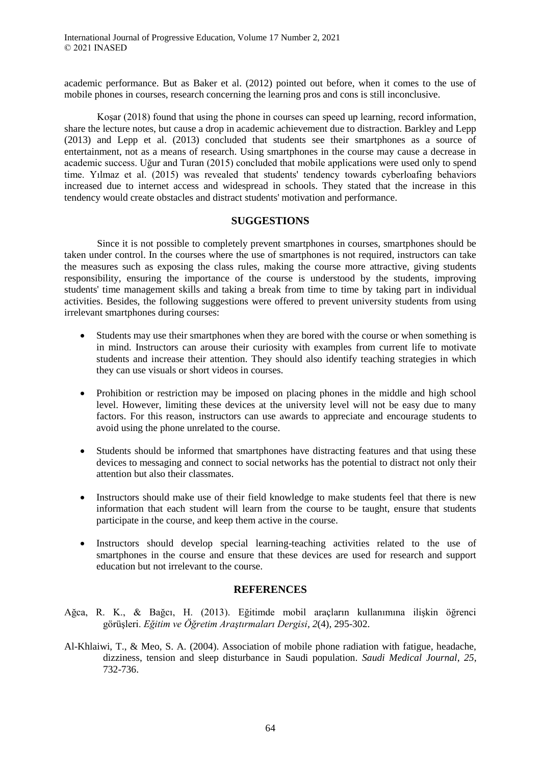academic performance. But as Baker et al. (2012) pointed out before, when it comes to the use of mobile phones in courses, research concerning the learning pros and cons is still inconclusive.

Koşar (2018) found that using the phone in courses can speed up learning, record information, share the lecture notes, but cause a drop in academic achievement due to distraction. Barkley and Lepp (2013) and Lepp et al. (2013) concluded that students see their smartphones as a source of entertainment, not as a means of research. Using smartphones in the course may cause a decrease in academic success. Uğur and Turan (2015) concluded that mobile applications were used only to spend time. Yılmaz et al. (2015) was revealed that students' tendency towards cyberloafing behaviors increased due to internet access and widespread in schools. They stated that the increase in this tendency would create obstacles and distract students' motivation and performance.

# **SUGGESTIONS**

Since it is not possible to completely prevent smartphones in courses, smartphones should be taken under control. In the courses where the use of smartphones is not required, instructors can take the measures such as exposing the class rules, making the course more attractive, giving students responsibility, ensuring the importance of the course is understood by the students, improving students' time management skills and taking a break from time to time by taking part in individual activities. Besides, the following suggestions were offered to prevent university students from using irrelevant smartphones during courses:

- Students may use their smartphones when they are bored with the course or when something is in mind. Instructors can arouse their curiosity with examples from current life to motivate students and increase their attention. They should also identify teaching strategies in which they can use visuals or short videos in courses.
- Prohibition or restriction may be imposed on placing phones in the middle and high school level. However, limiting these devices at the university level will not be easy due to many factors. For this reason, instructors can use awards to appreciate and encourage students to avoid using the phone unrelated to the course.
- Students should be informed that smartphones have distracting features and that using these devices to messaging and connect to social networks has the potential to distract not only their attention but also their classmates.
- Instructors should make use of their field knowledge to make students feel that there is new information that each student will learn from the course to be taught, ensure that students participate in the course, and keep them active in the course.
- Instructors should develop special learning-teaching activities related to the use of smartphones in the course and ensure that these devices are used for research and support education but not irrelevant to the course.

# **REFERENCES**

- Ağca, R. K., & Bağcı, H. (2013). Eğitimde mobil araçların kullanımına ilişkin öğrenci görüşleri. *Eğitim ve Öğretim Araştırmaları Dergisi, 2*(4), 295-302.
- Al-Khlaiwi, T., & Meo, S. A. (2004). Association of mobile phone radiation with fatigue, headache, dizziness, tension and sleep disturbance in Saudi population. *Saudi Medical Journal*, *25*, 732-736.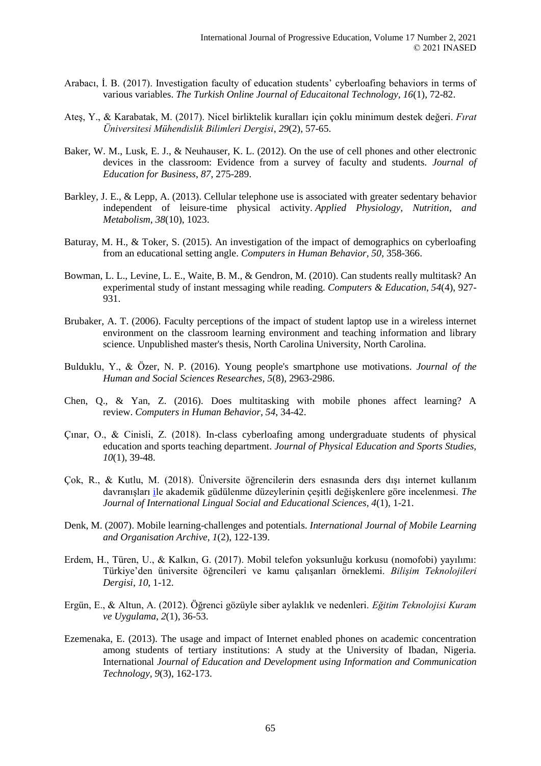- Arabacı, İ. B. (2017). Investigation faculty of education students' cyberloafing behaviors in terms of various variables. *The Turkish Online Journal of Educaitonal Technology, 16*(1), 72-82.
- Ateş, Y., & Karabatak, M. (2017). Nicel birliktelik kuralları için çoklu minimum destek değeri. *Fırat Üniversitesi Mühendislik Bilimleri Dergisi*, *29*(2), 57-65.
- Baker, W. M., Lusk, E. J., & Neuhauser, K. L. (2012). On the use of cell phones and other electronic devices in the classroom: Evidence from a survey of faculty and students. *Journal of Education for Business*, *87*, 275-289.
- Barkley, J. E., & Lepp, A. (2013). Cellular telephone use is associated with greater sedentary behavior independent of leisure-time physical activity. *Applied Physiology, Nutrition, and Metabolism*, *38*(10), 1023.
- Baturay, M. H., & Toker, S. (2015). An investigation of the impact of demographics on cyberloafing from an educational setting angle. *Computers in Human Behavior, 50*, 358-366.
- Bowman, L. L., Levine, L. E., Waite, B. M., & Gendron, M. (2010). Can students really multitask? An experimental study of instant messaging while reading. *Computers & Education*, *54*(4), 927- 931.
- Brubaker, A. T. (2006). Faculty perceptions of the impact of student laptop use in a wireless internet environment on the classroom learning environment and teaching information and library science. Unpublished master's thesis, North Carolina University, North Carolina.
- Bulduklu, Y., & Özer, N. P. (2016). Young people's smartphone use motivations. *Journal of the Human and Social Sciences Researches, 5*(8), 2963-2986.
- Chen, Q., & Yan, Z. (2016). Does multitasking with mobile phones affect learning? A review. *Computers in Human Behavior*, *54*, 34-42.
- Çınar, O., & Cinisli, Z. (2018). In-class cyberloafing among undergraduate students of physical education and sports teaching department. *Journal of Physical Education and Sports Studies, 10*(1), 39-48.
- Çok, R., & Kutlu, M. (2018). Üniversite öğrencilerin ders esnasında ders dışı internet kullanım davranışları [il](https://dergipark.org.tr/tr/pub/jilses/issue/38155/412013)e akademik güdülenme düzeylerinin çeşitli değişkenlere göre incelenmesi. *The Journal of International Lingual Social and Educational Sciences, 4*(1), 1-21.
- Denk, M. (2007). Mobile learning-challenges and potentials. *International Journal of Mobile Learning and Organisation Archive*, *1*(2), 122-139.
- Erdem, H., Türen, U., & Kalkın, G. (2017). Mobil telefon yoksunluğu korkusu (nomofobi) yayılımı: Türkiye'den üniversite öğrencileri ve kamu çalışanları örneklemi. *Bilişim Teknolojileri Dergisi*, *10*, 1-12.
- Ergün, E., & Altun, A. (2012). Öğrenci gözüyle siber aylaklık ve nedenleri. *Eğitim Teknolojisi Kuram ve Uygulama*, *2*(1), 36-53.
- Ezemenaka, E. (2013). The usage and impact of Internet enabled phones on academic concentration among students of tertiary institutions: A study at the University of Ibadan, Nigeria. International *Journal of Education and Development using Information and Communication Technology, 9*(3), 162-173.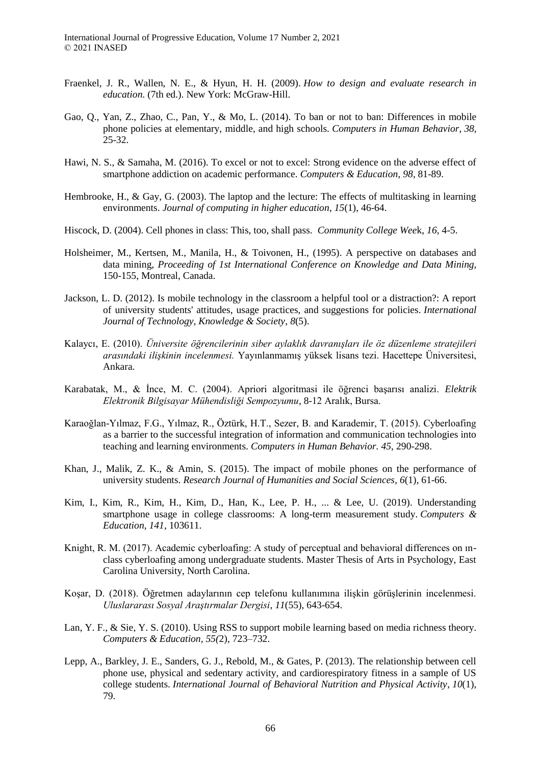- Fraenkel, J. R., Wallen, N. E., & Hyun, H. H. (2009). *How to design and evaluate research in education*. (7th ed.). New York: McGraw-Hill.
- Gao, Q., Yan, Z., Zhao, C., Pan, Y., & Mo, L. (2014). To ban or not to ban: Differences in mobile phone policies at elementary, middle, and high schools. *Computers in Human Behavior*, *38*, 25-32.
- Hawi, N. S., & Samaha, M. (2016). To excel or not to excel: Strong evidence on the adverse effect of smartphone addiction on academic performance. *Computers & Education*, *98*, 81-89.
- Hembrooke, H., & Gay, G. (2003). The laptop and the lecture: The effects of multitasking in learning environments. *Journal of computing in higher education*, *15*(1), 46-64.
- Hiscock, D. (2004). Cell phones in class: This, too, shall pass. *Community College Wee*k, *16*, 4-5.
- Holsheimer, M., Kertsen, M., Manila, H., & Toivonen, H., (1995). A perspective on databases and data mining, *Proceeding of 1st International Conference on Knowledge and Data Mining,* 150-155, Montreal, Canada.
- Jackson, L. D. (2012). Is mobile technology in the classroom a helpful tool or a distraction?: A report of university students' attitudes, usage practices, and suggestions for policies. *International Journal of Technology, Knowledge & Society*, *8*(5).
- Kalaycı, E. (2010). *Üniversite öğrencilerinin siber aylaklık davranışları ile öz düzenleme stratejileri arasındaki ilişkinin incelenmesi.* Yayınlanmamış yüksek lisans tezi. Hacettepe Üniversitesi, Ankara.
- Karabatak, M., & İnce, M. C. (2004). Apriori algoritmasi ile öğrenci başarısı analizi. *Elektrik Elektronik Bilgisayar Mühendisliği Sempozyumu*, 8-12 Aralık, Bursa.
- Karaoğlan-Yılmaz, F.G., Yılmaz, R., Öztürk, H.T., Sezer, B. and Karademir, T. (2015). Cyberloafing as a barrier to the successful integration of information and communication technologies into teaching and learning environments. *Computers in Human Behavior. 45,* 290-298.
- Khan, J., Malik, Z. K., & Amin, S. (2015). The impact of mobile phones on the performance of university students. *Research Journal of Humanities and Social Sciences*, *6*(1), 61-66.
- Kim, I., Kim, R., Kim, H., Kim, D., Han, K., Lee, P. H., ... & Lee, U. (2019). Understanding smartphone usage in college classrooms: A long-term measurement study. *Computers & Education*, *141*, 103611.
- Knight, R. M. (2017). Academic cyberloafing: A study of perceptual and behavioral differences on ınclass cyberloafing among undergraduate students. Master Thesis of Arts in Psychology, East Carolina University, North Carolina.
- Koşar, D. (2018). Öğretmen adaylarının cep telefonu kullanımına ilişkin görüşlerinin incelenmesi. *Uluslararası Sosyal Araştırmalar Dergisi*, *11*(55), 643-654.
- Lan, Y. F., & Sie, Y. S. (2010). Using RSS to support mobile learning based on media richness theory. *Computers & Education, 55(*2), 723–732.
- Lepp, A., Barkley, J. E., Sanders, G. J., Rebold, M., & Gates, P. (2013). The relationship between cell phone use, physical and sedentary activity, and cardiorespiratory fitness in a sample of US college students. *International Journal of Behavioral Nutrition and Physical Activity*, *10*(1), 79.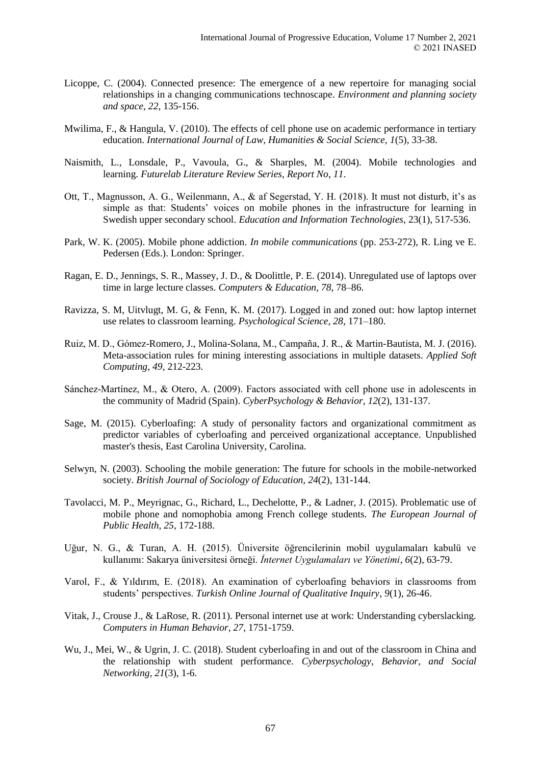- Licoppe, C. (2004). Connected presence: The emergence of a new repertoire for managing social relationships in a changing communications technoscape. *Environment and planning society and space, 22*, 135-156.
- Mwilima, F., & Hangula, V. (2010). The effects of cell phone use on academic performance in tertiary education. *International Journal of Law, Humanities & Social Science, 1*(5), 33-38.
- Naismith, L., Lonsdale, P., Vavoula, G., & Sharples, M. (2004). Mobile technologies and learning. *Futurelab Literature Review Series, Report No*, *11*.
- Ott, T., Magnusson, A. G., Weilenmann, A., & af Segerstad, Y. H. (2018). It must not disturb, it's as simple as that: Students' voices on mobile phones in the infrastructure for learning in Swedish upper secondary school. *Education and Information Technologies*, 23(1), 517-536.
- Park, W. K. (2005). Mobile phone addiction. *In mobile communications* (pp. 253-272), R. Ling ve E. Pedersen (Eds.). London: Springer.
- Ragan, E. D., Jennings, S. R., Massey, J. D., & Doolittle, P. E. (2014). Unregulated use of laptops over time in large lecture classes. *Computers & Education, 78*, 78–86.
- Ravizza, S. M, Uitvlugt, M. G, & Fenn, K. M. (2017). Logged in and zoned out: how laptop internet use relates to classroom learning. *Psychological Science, 28,* 171–180.
- Ruiz, M. D., Gómez-Romero, J., Molina-Solana, M., Campaña, J. R., & Martin-Bautista, M. J. (2016). Meta-association rules for mining interesting associations in multiple datasets. *Applied Soft Computing*, *49*, 212-223.
- Sánchez-Martínez, M., & Otero, A. (2009). Factors associated with cell phone use in adolescents in the community of Madrid (Spain). *CyberPsychology & Behavior, 12*(2), 131-137.
- Sage, M. (2015). Cyberloafing: A study of personality factors and organizational commitment as predictor variables of cyberloafing and perceived organizational acceptance. Unpublished master's thesis, East Carolina University, Carolina.
- Selwyn, N. (2003). Schooling the mobile generation: The future for schools in the mobile-networked society. *British Journal of Sociology of Education, 24*(2), 131-144.
- Tavolacci, M. P., Meyrignac, G., Richard, L., Dechelotte, P., & Ladner, J. (2015). Problematic use of mobile phone and nomophobia among French college students. *The European Journal of Public Health, 25*, 172-188.
- Uğur, N. G., & Turan, A. H. (2015). Üniversite öğrencilerinin mobil uygulamaları kabulü ve kullanımı: Sakarya üniversitesi örneği. *İnternet Uygulamaları ve Yönetimi*, *6*(2), 63-79.
- Varol, F., & Yıldırım, E. (2018). An examination of cyberloafing behaviors in classrooms from students' perspectives. *Turkish Online Journal of Qualitative Inquiry*, *9*(1), 26-46.
- Vitak, J., Crouse J., & LaRose, R. (2011). Personal internet use at work: Understanding cyberslacking. *Computers in Human Behavior*, *27*, 1751-1759.
- Wu, J., Mei, W., & Ugrin, J. C. (2018). Student cyberloafing in and out of the classroom in China and the relationship with student performance. *Cyberpsychology, Behavior, and Social Networking, 21*(3), 1-6.